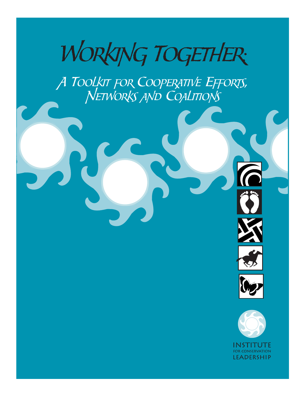

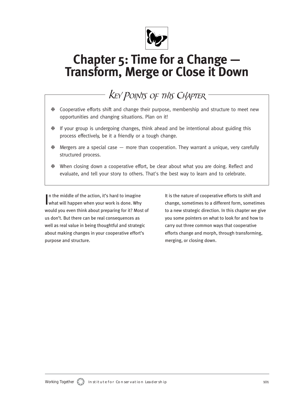

# **Chapter 5: Time for a Change — Transform, Merge or Close it Down**

# KEY POINTS OF THIS CHAPTER

- ❉ Cooperative efforts shift and change their purpose, membership and structure to meet new opportunities and changing situations. Plan on it!
- ❉ If your group is undergoing changes, think ahead and be intentional about guiding this process effectively, be it a friendly or a tough change.
- ❉ Mergers are a special case more than cooperation. They warrant a unique, very carefully structured process.
- ❉ When closing down a cooperative effort, be clear about what you are doing. Reflect and evaluate, and tell your story to others. That's the best way to learn and to celebrate.

In the middle of the action, it's hard to imagine<br>what will happen when your work is done. Why In the middle of the action, it's hard to imagine would you even think about preparing for it? Most of us don't. But there can be real consequences as well as real value in being thoughtful and strategic about making changes in your cooperative effort's purpose and structure.

It is the nature of cooperative efforts to shift and change, sometimes to a different form, sometimes to a new strategic direction. In this chapter we give you some pointers on what to look for and how to carry out three common ways that cooperative efforts change and morph, through transforming, merging, or closing down.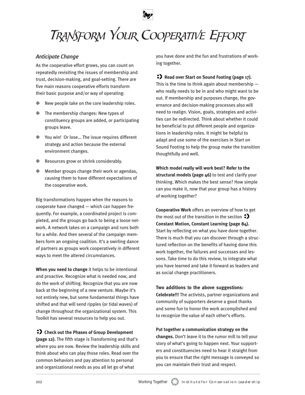# TRANSFORM YOUR COOPERATIVE EFFORT

## *Anticipate Change*

As the cooperative effort grows, you can count on repeatedly revisiting the issues of membership and trust, decision-making, and goal-setting. There are five main reasons cooperative efforts transform their basic purpose and/or way of operating:

- ❉ New people take on the core leadership roles.
- ❉ The membership changes: New types of constituency groups are added, or participating groups leave.
- ❉ You win! Or lose… The issue requires different strategy and action because the external environment changes.
- ❉ Resources grow or shrink considerably.
- ❉ Member groups change their work or agendas, causing them to have different expectations of the cooperative work.

Big transformations happen when the reasons to cooperate have changed — which can happen frequently. For example, a coordinated project is completed, and the groups go back to being a loose network. A network takes on a campaign and runs both for a while. And then several of the campaign members form an ongoing coalition. It's a swirling dance of partners as groups work cooperatively in different ways to meet the altered circumstances.

**When you need to change** it helps to be intentional and proactive. Recognize what is needed now, and do the work of shifting. Recognize that you are now back at the beginning of a new venture. Maybe it's not entirely new, but some fundamental things have shifted and that will send ripples (or tidal waves) of change throughout the organizational system. This Toolkit has several resources to help you out.

## **Check out the Phases of Group Development**

**(page 12).** The fifth stage is Transforming and that's where you are now. Review the leadership skills and think about who can play those roles. Read over the common behaviors and pay attention to personal and organizational needs as you all let go of what

you have done and the fun and frustrations of working together.

## **Read over Start on Sound Footing (page 17).**

This is the time to think again about membership who really needs to be in and who might want to be out. If membership and purposes change, the governance and decision-making processes also will need to realign. Vision, goals, strategies and activities can be redirected. Think about whether it could be beneficial to put different people and organizations in leadership roles. It might be helpful to adapt and use some of the exercises in Start on Sound Footing to help the group make the transition thoughtfully and well.

**Which model really will work best? Refer to the structural models (page 46)** to test and clarify your thinking. Which makes the best sense? How simple can you make it, now that your group has a history of working together?

**Cooperative Work** offers an overview of how to get the most out of the transition in the section  $\leftrightarrow$ **Constant Motion, Constant Learning (page 84).** Start by reflecting on what you have done together. There is much that you can discover through a structured reflection on the benefits of having done this work together, the failures and successes and lessons. Take time to do this review, to integrate what you have learned and take it forward as leaders and as social change practitioners.

#### **Two additions to the above suggestions:**

**Celebrate!!!** The activists, partner organizations and community of supporters deserve a good thanks and some fun to honor the work accomplished and to recognize the value of each other's efforts.

**Put together a communication strategy on the changes.** Don't leave it to the rumor mill to tell your story of what's going to happen next. Your supporters and constituencies need to hear it straight from you to ensure that the right message is conveyed so you can maintain their trust and respect.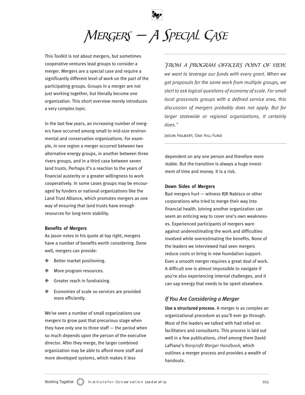MERGERS — A SPECIAL CASE

This Toolkit is not about mergers, but sometimes cooperative ventures lead groups to consider a merger. Mergers are a special case and require a significantly different level of work on the part of the participating groups. Groups in a merger are not just working together, but literally become one organization. This short overview merely introduces a very complex topic.

In the last few years, an increasing number of mergers have occurred among small to mid-size environmental and conservation organizations. For example, in one region a merger occurred between two alternative energy groups, in another between three rivers groups, and in a third case between seven land trusts. Perhaps it's a reaction to the years of financial austerity or a greater willingness to work cooperatively. In some cases groups may be encouraged by funders or national organizations like the Land Trust Alliance, which promotes mergers as one way of ensuring that land trusts have enough resources for long-term stability.

#### **Benefits of Mergers**

As Jason notes in his quote at top right, mergers have a number of benefits worth considering. Done well, mergers can provide:

- ❉ Better market positioning.
- ❉ More program resources.
- ❉ Greater reach in fundraising.
- ❉ Economies of scale so services are provided more efficiently.

We've seen a number of small organizations use mergers to grow past that precarious stage when they have only one to three staff — the period when so much depends upon the person of the executive director. After they merge, the larger combined organization may be able to afford more staff and more developed systems, which makes it less

"From a Program Officer's point of view, *we want to leverage our funds with every grant. When we get proposals for the same work from multiple groups, we start to ask logical questions of economy of scale. For small local grassroots groups with a defined service area, this discussion of mergers probably does not apply. But for larger statewide or regional organizations, it certainly does."*

Jason Halbert, Oak Hill Fund

dependent on any one person and therefore more stable. But the transition is always a huge investment of time and money. It is a risk.

#### **Down Sides of Mergers**

Bad mergers hurt — witness RJR Nabisco or other corporations who tried to merge their way into financial health. Joining another organization can seem an enticing way to cover one's own weaknesses. Experienced participants of mergers warn against underestimating the work and difficulties involved while overestimating the benefits. None of the leaders we interviewed had seen mergers reduce costs or bring in new foundation support. Even a smooth merger requires a great deal of work. A difficult one is almost impossible to navigate if you're also experiencing internal challenges, and it can sap energy that needs to be spent elsewhere.

## *If You Are Considering a Merger*

**Use a structured process**. A merger is as complex an organizational procedure as you'll ever go through. Most of the leaders we talked with had relied on facilitators and consultants. This process is laid out well in a few publications, chief among them David LaPiana's *Nonprofit Merger Handbook,* which outlines a merger process and provides a wealth of handouts.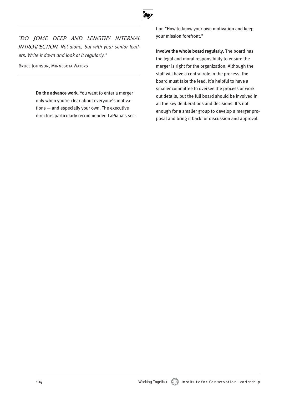

"Do some deep and lengthy internal INTROSPECTION. Not alone, but with your senior lead*ers. Write it down and look at it regularly."*

Bruce Johnson, Minnesota Waters

**Do the advance work.** You want to enter a merger only when you're clear about everyone's motivations — and especially your own. The executive directors particularly recommended LaPiana's section "How to know your own motivation and keep your mission forefront."

**Involve the whole board regularly**. The board has the legal and moral responsibility to ensure the merger is right for the organization. Although the staff will have a central role in the process, the board must take the lead. It's helpful to have a smaller committee to oversee the process or work out details, but the full board should be involved in all the key deliberations and decisions. It's not enough for a smaller group to develop a merger proposal and bring it back for discussion and approval.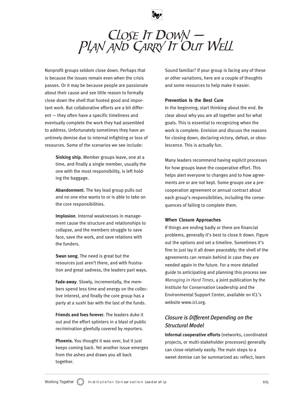

# $C\text{LOSE}$  It DOWN  $-$ PLAN AND CARRY IT OUT WELL

Nonprofit groups seldom close down. Perhaps that is because the issues remain even when the crisis passes. Or it may be because people are passionate about their cause and see little reason to formally close down the shell that hosted good and important work. But collaborative efforts are a bit different — they often have a specific timeliness and eventually complete the work they had assembled to address. Unfortunately sometimes they have an untimely demise due to internal infighting or loss of resources. Some of the scenarios we see include:

> **Sinking ship.** Member groups leave, one at a time, and finally a single member, usually the one with the most responsibility, is left holding the baggage.

> **Abandonment**. The key lead group pulls out and no one else wants to or is able to take on the core responsibilities.

> **Implosion**. Internal weaknesses in management cause the structure and relationships to collapse, and the members struggle to save face, save the work, and save relations with the funders.

**Swan song.** The need is great but the resources just aren't there, and with frustration and great sadness, the leaders part ways.

**Fade-away**. Slowly, incrementally, the members spend less time and energy on the collective interest, and finally the core group has a party at a sushi bar with the last of the funds.

**Friends and foes forever.** The leaders duke it out and the effort splinters in a blast of public recrimination gleefully covered by reporters.

**Phoenix.** You thought it was over, but it just keeps coming back. Yet another issue emerges from the ashes and draws you all back together.

Sound familiar? If your group is facing any of these or other variations, here are a couple of thoughts and some resources to help make it easier.

#### **Prevention Is the Best Cure**

In the beginning, start thinking about the end. Be clear about why you are all together and for what goals. This is essential to recognizing when the work is complete. Envision and discuss the reasons for closing down, declaring victory, defeat, or obsolescence. This is actually fun.

Many leaders recommend having explicit processes for how groups leave the cooperative effort. This helps alert everyone to changes and to how agreements are or are not kept. Some groups use a precooperation agreement or annual contract about each group's responsibilities, including the consequences of failing to complete them.

#### **When Closure Approaches**

If things are ending badly or there are financial problems, generally it's best to close it down. Figure out the options and set a timeline. Sometimes it's fine to just lay it all down peaceably; the shell of the agreements can remain behind in case they are needed again in the future. For a more detailed guide to anticipating and planning this process see *Managing in Hard Times*, a joint publication by the Institute for Conservation Leadership and the Environmental Support Center, available on ICL's website www.icl.org.

# *Closure is Different Depending on the Structural Model*

**Informal cooperative efforts** (networks, coordinated projects, or multi-stakeholder processes) generally can close relatively easily. The main steps to a sweet demise can be summarized as: reflect, learn